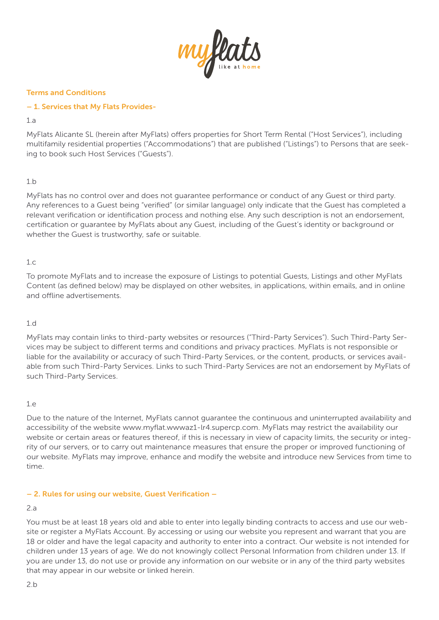

### Terms and Conditions

### – 1. Services that My Flats Provides-

 $1a$ 

MyFlats Alicante SL (herein after MyFlats) offers properties for Short Term Rental ("Host Services"), including multifamily residential properties ("Accommodations") that are published ("Listings") to Persons that are seeking to book such Host Services ("Guests").

# 1.b

MyFlats has no control over and does not guarantee performance or conduct of any Guest or third party. Any references to a Guest being "verified" (or similar language) only indicate that the Guest has completed a relevant verification or identification process and nothing else. Any such description is not an endorsement, certification or guarantee by MyFlats about any Guest, including of the Guest's identity or background or whether the Guest is trustworthy, safe or suitable.

### 1.c

To promote MyFlats and to increase the exposure of Listings to potential Guests, Listings and other MyFlats Content (as defined below) may be displayed on other websites, in applications, within emails, and in online and offline advertisements.

### 1.d

MyFlats may contain links to third-party websites or resources ("Third-Party Services"). Such Third-Party Services may be subject to different terms and conditions and privacy practices. MyFlats is not responsible or liable for the availability or accuracy of such Third-Party Services, or the content, products, or services available from such Third-Party Services. Links to such Third-Party Services are not an endorsement by MyFlats of such Third-Party Services.

### 1.e

Due to the nature of the Internet, MyFlats cannot guarantee the continuous and uninterrupted availability and accessibility of the website www.myflat.wwwaz1-lr4.supercp.com. MyFlats may restrict the availability our website or certain areas or features thereof, if this is necessary in view of capacity limits, the security or integrity of our servers, or to carry out maintenance measures that ensure the proper or improved functioning of our website. MyFlats may improve, enhance and modify the website and introduce new Services from time to time.

### – 2. Rules for using our website, Guest Verification –

### 2.a

You must be at least 18 years old and able to enter into legally binding contracts to access and use our website or register a MyFlats Account. By accessing or using our website you represent and warrant that you are 18 or older and have the legal capacity and authority to enter into a contract. Our website is not intended for children under 13 years of age. We do not knowingly collect Personal Information from children under 13. If you are under 13, do not use or provide any information on our website or in any of the third party websites that may appear in our website or linked herein.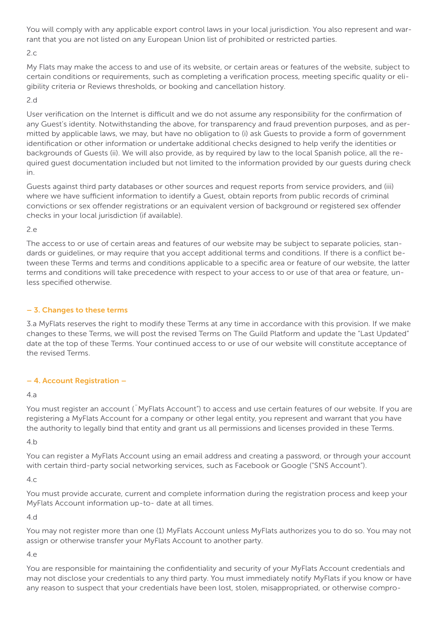You will comply with any applicable export control laws in your local jurisdiction. You also represent and warrant that you are not listed on any European Union list of prohibited or restricted parties.

### $2c$

My Flats may make the access to and use of its website, or certain areas or features of the website, subject to certain conditions or requirements, such as completing a verification process, meeting specific quality or eligibility criteria or Reviews thresholds, or booking and cancellation history.

# 2.d

User verification on the Internet is difficult and we do not assume any responsibility for the confirmation of any Guest's identity. Notwithstanding the above, for transparency and fraud prevention purposes, and as permitted by applicable laws, we may, but have no obligation to (i) ask Guests to provide a form of government identification or other information or undertake additional checks designed to help verify the identities or backgrounds of Guests (ii). We will also provide, as by required by law to the local Spanish police, all the required guest documentation included but not limited to the information provided by our guests during check in.

Guests against third party databases or other sources and request reports from service providers, and (iii) where we have sufficient information to identify a Guest, obtain reports from public records of criminal convictions or sex offender registrations or an equivalent version of background or registered sex offender checks in your local jurisdiction (if available).

# 2.e

The access to or use of certain areas and features of our website may be subject to separate policies, standards or guidelines, or may require that you accept additional terms and conditions. If there is a conflict between these Terms and terms and conditions applicable to a specific area or feature of our website, the latter terms and conditions will take precedence with respect to your access to or use of that area or feature, unless specified otherwise.

### – 3. Changes to these terms

3.a MyFlats reserves the right to modify these Terms at any time in accordance with this provision. If we make changes to these Terms, we will post the revised Terms on The Guild Platform and update the "Last Updated" date at the top of these Terms. Your continued access to or use of our website will constitute acceptance of the revised Terms.

# – 4. Account Registration –

### 4.a

You must register an account (¨MyFlats Account") to access and use certain features of our website. If you are registering a MyFlats Account for a company or other legal entity, you represent and warrant that you have the authority to legally bind that entity and grant us all permissions and licenses provided in these Terms.

4.b

You can register a MyFlats Account using an email address and creating a password, or through your account with certain third-party social networking services, such as Facebook or Google ("SNS Account").

### $4c$

You must provide accurate, current and complete information during the registration process and keep your MyFlats Account information up-to- date at all times.

4.d

You may not register more than one (1) MyFlats Account unless MyFlats authorizes you to do so. You may not assign or otherwise transfer your MyFlats Account to another party.

### 4.e

You are responsible for maintaining the confidentiality and security of your MyFlats Account credentials and may not disclose your credentials to any third party. You must immediately notify MyFlats if you know or have any reason to suspect that your credentials have been lost, stolen, misappropriated, or otherwise compro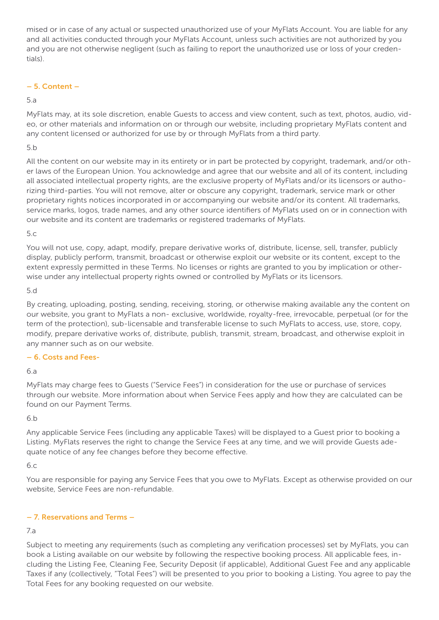mised or in case of any actual or suspected unauthorized use of your MyFlats Account. You are liable for any and all activities conducted through your MyFlats Account, unless such activities are not authorized by you and you are not otherwise negligent (such as failing to report the unauthorized use or loss of your credentials).

### – 5. Content –

### 5.a

MyFlats may, at its sole discretion, enable Guests to access and view content, such as text, photos, audio, video, or other materials and information on or through our website, including proprietary MyFlats content and any content licensed or authorized for use by or through MyFlats from a third party.

### 5.b

All the content on our website may in its entirety or in part be protected by copyright, trademark, and/or other laws of the European Union. You acknowledge and agree that our website and all of its content, including all associated intellectual property rights, are the exclusive property of MyFlats and/or its licensors or authorizing third-parties. You will not remove, alter or obscure any copyright, trademark, service mark or other proprietary rights notices incorporated in or accompanying our website and/or its content. All trademarks, service marks, logos, trade names, and any other source identifiers of MyFlats used on or in connection with our website and its content are trademarks or registered trademarks of MyFlats.

### 5.c

You will not use, copy, adapt, modify, prepare derivative works of, distribute, license, sell, transfer, publicly display, publicly perform, transmit, broadcast or otherwise exploit our website or its content, except to the extent expressly permitted in these Terms. No licenses or rights are granted to you by implication or otherwise under any intellectual property rights owned or controlled by MyFlats or its licensors.

### 5.d

By creating, uploading, posting, sending, receiving, storing, or otherwise making available any the content on our website, you grant to MyFlats a non- exclusive, worldwide, royalty-free, irrevocable, perpetual (or for the term of the protection), sub-licensable and transferable license to such MyFlats to access, use, store, copy, modify, prepare derivative works of, distribute, publish, transmit, stream, broadcast, and otherwise exploit in any manner such as on our website.

# – 6. Costs and Fees-

# 6.a

MyFlats may charge fees to Guests ("Service Fees") in consideration for the use or purchase of services through our website. More information about when Service Fees apply and how they are calculated can be found on our Payment Terms.

### 6.b

Any applicable Service Fees (including any applicable Taxes) will be displayed to a Guest prior to booking a Listing. MyFlats reserves the right to change the Service Fees at any time, and we will provide Guests adequate notice of any fee changes before they become effective.

### 6.c

You are responsible for paying any Service Fees that you owe to MyFlats. Except as otherwise provided on our website, Service Fees are non-refundable.

# – 7. Reservations and Terms –

# 7.a

Subject to meeting any requirements (such as completing any verification processes) set by MyFlats, you can book a Listing available on our website by following the respective booking process. All applicable fees, including the Listing Fee, Cleaning Fee, Security Deposit (if applicable), Additional Guest Fee and any applicable Taxes if any (collectively, "Total Fees") will be presented to you prior to booking a Listing. You agree to pay the Total Fees for any booking requested on our website.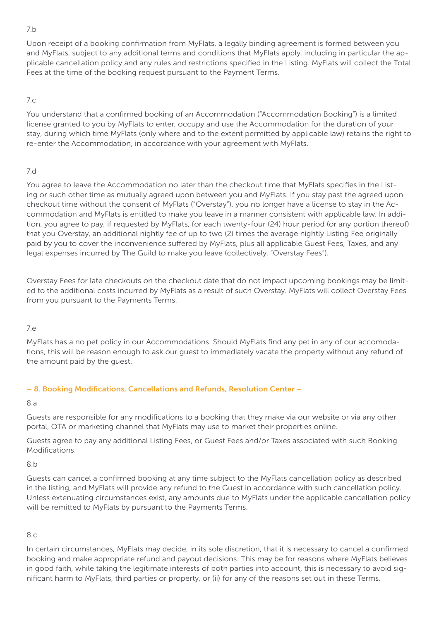### 7.b

Upon receipt of a booking confirmation from MyFlats, a legally binding agreement is formed between you and MyFlats, subject to any additional terms and conditions that MyFlats apply, including in particular the applicable cancellation policy and any rules and restrictions specified in the Listing. MyFlats will collect the Total Fees at the time of the booking request pursuant to the Payment Terms.

# 7.c

You understand that a confirmed booking of an Accommodation ("Accommodation Booking") is a limited license granted to you by MyFlats to enter, occupy and use the Accommodation for the duration of your stay, during which time MyFlats (only where and to the extent permitted by applicable law) retains the right to re-enter the Accommodation, in accordance with your agreement with MyFlats.

# 7.d

You agree to leave the Accommodation no later than the checkout time that MyFlats specifies in the Listing or such other time as mutually agreed upon between you and MyFlats. If you stay past the agreed upon checkout time without the consent of MyFlats ("Overstay"), you no longer have a license to stay in the Accommodation and MyFlats is entitled to make you leave in a manner consistent with applicable law. In addition, you agree to pay, if requested by MyFlats, for each twenty-four (24) hour period (or any portion thereof) that you Overstay, an additional nightly fee of up to two (2) times the average nightly Listing Fee originally paid by you to cover the inconvenience suffered by MyFlats, plus all applicable Guest Fees, Taxes, and any legal expenses incurred by The Guild to make you leave (collectively, "Overstay Fees").

Overstay Fees for late checkouts on the checkout date that do not impact upcoming bookings may be limited to the additional costs incurred by MyFlats as a result of such Overstay. MyFlats will collect Overstay Fees from you pursuant to the Payments Terms.

# 7.e

MyFlats has a no pet policy in our Accommodations. Should MyFlats find any pet in any of our accomodations, this will be reason enough to ask our guest to immediately vacate the property without any refund of the amount paid by the guest.

# – 8. Booking Modifications, Cancellations and Refunds, Resolution Center –

# 8.a

Guests are responsible for any modifications to a booking that they make via our website or via any other portal, OTA or marketing channel that MyFlats may use to market their properties online.

Guests agree to pay any additional Listing Fees, or Guest Fees and/or Taxes associated with such Booking Modifications.

8.b

Guests can cancel a confirmed booking at any time subject to the MyFlats cancellation policy as described in the listing, and MyFlats will provide any refund to the Guest in accordance with such cancellation policy. Unless extenuating circumstances exist, any amounts due to MyFlats under the applicable cancellation policy will be remitted to MyFlats by pursuant to the Payments Terms.

# 8.c

In certain circumstances, MyFlats may decide, in its sole discretion, that it is necessary to cancel a confirmed booking and make appropriate refund and payout decisions. This may be for reasons where MyFlats believes in good faith, while taking the legitimate interests of both parties into account, this is necessary to avoid significant harm to MyFlats, third parties or property, or (ii) for any of the reasons set out in these Terms.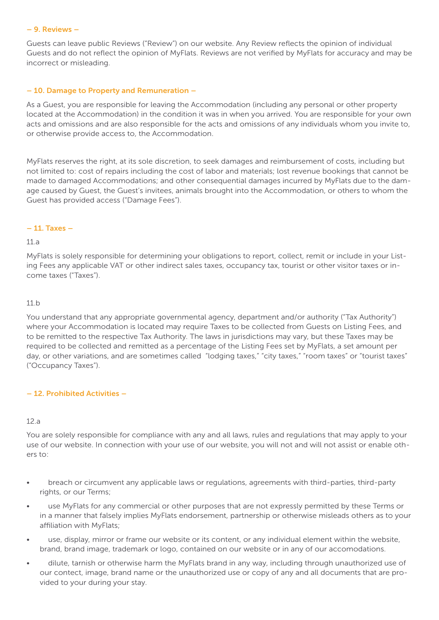#### – 9. Reviews –

Guests can leave public Reviews ("Review") on our website. Any Review reflects the opinion of individual Guests and do not reflect the opinion of MyFlats. Reviews are not verified by MyFlats for accuracy and may be incorrect or misleading.

### – 10. Damage to Property and Remuneration –

As a Guest, you are responsible for leaving the Accommodation (including any personal or other property located at the Accommodation) in the condition it was in when you arrived. You are responsible for your own acts and omissions and are also responsible for the acts and omissions of any individuals whom you invite to, or otherwise provide access to, the Accommodation.

MyFlats reserves the right, at its sole discretion, to seek damages and reimbursement of costs, including but not limited to: cost of repairs including the cost of labor and materials; lost revenue bookings that cannot be made to damaged Accommodations; and other consequential damages incurred by MyFlats due to the damage caused by Guest, the Guest's invitees, animals brought into the Accommodation, or others to whom the Guest has provided access ("Damage Fees").

### – 11. Taxes –

### 11.a

MyFlats is solely responsible for determining your obligations to report, collect, remit or include in your Listing Fees any applicable VAT or other indirect sales taxes, occupancy tax, tourist or other visitor taxes or income taxes ("Taxes").

### 11.b

You understand that any appropriate governmental agency, department and/or authority ("Tax Authority") where your Accommodation is located may require Taxes to be collected from Guests on Listing Fees, and to be remitted to the respective Tax Authority. The laws in jurisdictions may vary, but these Taxes may be required to be collected and remitted as a percentage of the Listing Fees set by MyFlats, a set amount per day, or other variations, and are sometimes called "lodging taxes," "city taxes," "room taxes" or "tourist taxes" ("Occupancy Taxes").

# – 12. Prohibited Activities –

### 12.a

You are solely responsible for compliance with any and all laws, rules and regulations that may apply to your use of our website. In connection with your use of our website, you will not and will not assist or enable others to:

- breach or circumvent any applicable laws or regulations, agreements with third-parties, third-party rights, or our Terms;
- use MyFlats for any commercial or other purposes that are not expressly permitted by these Terms or in a manner that falsely implies MyFlats endorsement, partnership or otherwise misleads others as to your affiliation with MyFlats;
- use, display, mirror or frame our website or its content, or any individual element within the website, brand, brand image, trademark or logo, contained on our website or in any of our accomodations.
- dilute, tarnish or otherwise harm the MyFlats brand in any way, including through unauthorized use of our contect, image, brand name or the unauthorized use or copy of any and all documents that are provided to your during your stay.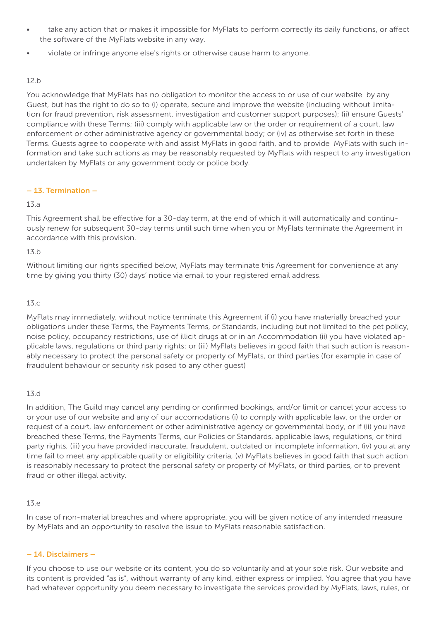- take any action that or makes it impossible for MyFlats to perform correctly its daily functions, or affect the software of the MyFlats website in any way.
- violate or infringe anyone else's rights or otherwise cause harm to anyone.

### 12.b

You acknowledge that MyFlats has no obligation to monitor the access to or use of our website by any Guest, but has the right to do so to (i) operate, secure and improve the website (including without limitation for fraud prevention, risk assessment, investigation and customer support purposes); (ii) ensure Guests' compliance with these Terms; (iii) comply with applicable law or the order or requirement of a court, law enforcement or other administrative agency or governmental body; or (iv) as otherwise set forth in these Terms. Guests agree to cooperate with and assist MyFlats in good faith, and to provide MyFlats with such information and take such actions as may be reasonably requested by MyFlats with respect to any investigation undertaken by MyFlats or any government body or police body.

# – 13. Termination –

### 13.a

This Agreement shall be effective for a 30-day term, at the end of which it will automatically and continuously renew for subsequent 30-day terms until such time when you or MyFlats terminate the Agreement in accordance with this provision.

### 13.b

Without limiting our rights specified below, MyFlats may terminate this Agreement for convenience at any time by giving you thirty (30) days' notice via email to your registered email address.

### 13.c

MyFlats may immediately, without notice terminate this Agreement if (i) you have materially breached your obligations under these Terms, the Payments Terms, or Standards, including but not limited to the pet policy, noise policy, occupancy restrictions, use of illicit drugs at or in an Accommodation (ii) you have violated applicable laws, regulations or third party rights; or (iii) MyFlats believes in good faith that such action is reasonably necessary to protect the personal safety or property of MyFlats, or third parties (for example in case of fraudulent behaviour or security risk posed to any other guest)

### 13.d

In addition, The Guild may cancel any pending or confirmed bookings, and/or limit or cancel your access to or your use of our website and any of our accomodations (i) to comply with applicable law, or the order or request of a court, law enforcement or other administrative agency or governmental body, or if (ii) you have breached these Terms, the Payments Terms, our Policies or Standards, applicable laws, regulations, or third party rights, (iii) you have provided inaccurate, fraudulent, outdated or incomplete information, (iv) you at any time fail to meet any applicable quality or eligibility criteria, (v) MyFlats believes in good faith that such action is reasonably necessary to protect the personal safety or property of MyFlats, or third parties, or to prevent fraud or other illegal activity.

### 13.e

In case of non-material breaches and where appropriate, you will be given notice of any intended measure by MyFlats and an opportunity to resolve the issue to MyFlats reasonable satisfaction.

# – 14. Disclaimers –

If you choose to use our website or its content, you do so voluntarily and at your sole risk. Our website and its content is provided "as is", without warranty of any kind, either express or implied. You agree that you have had whatever opportunity you deem necessary to investigate the services provided by MyFlats, laws, rules, or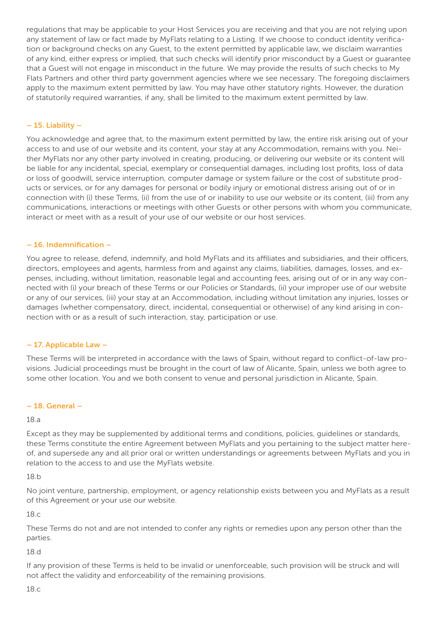regulations that may be applicable to your Host Services you are receiving and that you are not relying upon any statement of law or fact made by MyFlats relating to a Listing. If we choose to conduct identity verification or background checks on any Guest, to the extent permitted by applicable law, we disclaim warranties of any kind, either express or implied, that such checks will identify prior misconduct by a Guest or guarantee that a Guest will not engage in misconduct in the future. We may provide the results of such checks to My Flats Partners and other third party government agencies where we see necessary. The foregoing disclaimers apply to the maximum extent permitted by law. You may have other statutory rights. However, the duration of statutorily required warranties, if any, shall be limited to the maximum extent permitted by law.

### – 15. Liability –

You acknowledge and agree that, to the maximum extent permitted by law, the entire risk arising out of your access to and use of our website and its content, your stay at any Accommodation, remains with you. Neither MyFlats nor any other party involved in creating, producing, or delivering our website or its content will be liable for any incidental, special, exemplary or consequential damages, including lost profits, loss of data or loss of goodwill, service interruption, computer damage or system failure or the cost of substitute products or services, or for any damages for personal or bodily injury or emotional distress arising out of or in connection with (i) these Terms, (ii) from the use of or inability to use our website or its content, (iii) from any communications, interactions or meetings with other Guests or other persons with whom you communicate, interact or meet with as a result of your use of our website or our host services.

### – 16. Indemnification –

You agree to release, defend, indemnify, and hold MyFlats and its affiliates and subsidiaries, and their officers, directors, employees and agents, harmless from and against any claims, liabilities, damages, losses, and expenses, including, without limitation, reasonable legal and accounting fees, arising out of or in any way connected with (i) your breach of these Terms or our Policies or Standards, (ii) your improper use of our website or any of our services, (iii) your stay at an Accommodation, including without limitation any injuries, losses or damages (whether compensatory, direct, incidental, consequential or otherwise) of any kind arising in connection with or as a result of such interaction, stay, participation or use.

### – 17. Applicable Law –

These Terms will be interpreted in accordance with the laws of Spain, without regard to conflict-of-law provisions. Judicial proceedings must be brought in the court of law of Alicante, Spain, unless we both agree to some other location. You and we both consent to venue and personal jurisdiction in Alicante, Spain.

### – 18. General –

### 18.a

Except as they may be supplemented by additional terms and conditions, policies, guidelines or standards, these Terms constitute the entire Agreement between MyFlats and you pertaining to the subject matter hereof, and supersede any and all prior oral or written understandings or agreements between MyFlats and you in relation to the access to and use the MyFlats website.

18.b

No joint venture, partnership, employment, or agency relationship exists between you and MyFlats as a result of this Agreement or your use our website.

18.c

These Terms do not and are not intended to confer any rights or remedies upon any person other than the parties.

### 18.d

If any provision of these Terms is held to be invalid or unenforceable, such provision will be struck and will not affect the validity and enforceability of the remaining provisions.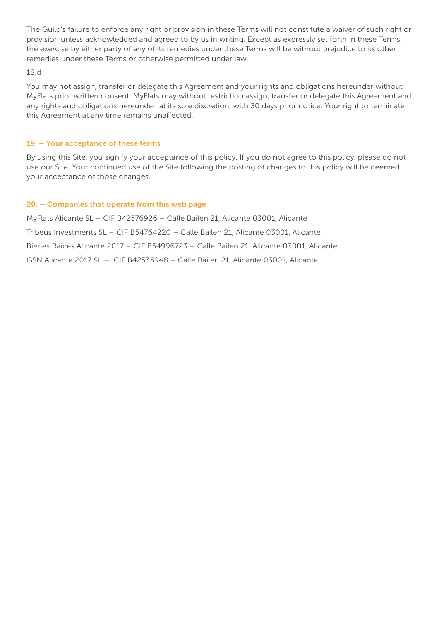The Guild's failure to enforce any right or provision in these Terms will not constitute a waiver of such right or provision unless acknowledged and agreed to by us in writing. Except as expressly set forth in these Terms, the exercise by either party of any of its remedies under these Terms will be without prejudice to its other remedies under these Terms or otherwise permitted under law.

#### 18.d

You may not assign, transfer or delegate this Agreement and your rights and obligations hereunder without MyFlats prior written consent. MyFlats may without restriction assign, transfer or delegate this Agreement and any rights and obligations hereunder, at its sole discretion, with 30 days prior notice. Your right to terminate this Agreement at any time remains unaffected.

#### 19. – Your acceptance of these terms

By using this Site, you signify your acceptance of this policy. If you do not agree to this policy, please do not use our Site. Your continued use of the Site following the posting of changes to this policy will be deemed your acceptance of those changes.

#### 20. – Companies that operate from this web page

MyFlats Alicante SL – CIF B42576926 – Calle Bailen 21, Alicante 03001, Alicante Tribeus Investments SL – CIF B54764220 – Calle Bailen 21, Alicante 03001, Alicante Bienes Raices Alicante 2017 – CIF B54996723 – Calle Bailen 21, Alicante 03001, Alicante GSN Alicante 2017 SL – CIF B42535948 – Calle Bailen 21, Alicante 03001, Alicante